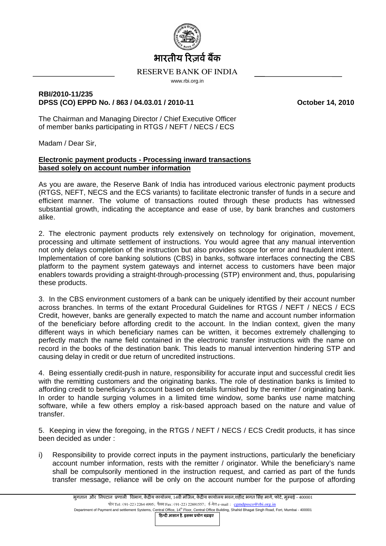

## RESERVE BANK OF INDIA www.rbi.org.in

## **RBI/2010-11/235 DPSS (CO) EPPD No. / 863 / 04.03.01 / 2010-11 October 14, 2010**

The Chairman and Managing Director / Chief Executive Officer of member banks participating in RTGS / NEFT / NECS / ECS

Madam / Dear Sir,

## **Electronic payment products - Processing inward transactions based solely on account number information**

As you are aware, the Reserve Bank of India has introduced various electronic payment products (RTGS, NEFT, NECS and the ECS variants) to facilitate electronic transfer of funds in a secure and efficient manner. The volume of transactions routed through these products has witnessed substantial growth, indicating the acceptance and ease of use, by bank branches and customers alike.

2. The electronic payment products rely extensively on technology for origination, movement, processing and ultimate settlement of instructions. You would agree that any manual intervention not only delays completion of the instruction but also provides scope for error and fraudulent intent. Implementation of core banking solutions (CBS) in banks, software interfaces connecting the CBS platform to the payment system gateways and internet access to customers have been major enablers towards providing a straight-through-processing (STP) environment and, thus, popularising these products.

3. In the CBS environment customers of a bank can be uniquely identified by their account number across branches. In terms of the extant Procedural Guidelines for RTGS / NEFT / NECS / ECS Credit, however, banks are generally expected to match the name and account number information of the beneficiary before affording credit to the account. In the Indian context, given the many different ways in which beneficiary names can be written, it becomes extremely challenging to perfectly match the name field contained in the electronic transfer instructions with the name on record in the books of the destination bank. This leads to manual intervention hindering STP and causing delay in credit or due return of uncredited instructions.

4. Being essentially credit-push in nature, responsibility for accurate input and successful credit lies with the remitting customers and the originating banks. The role of destination banks is limited to affording credit to beneficiary's account based on details furnished by the remitter / originating bank. In order to handle surging volumes in a limited time window, some banks use name matching software, while a few others employ a risk-based approach based on the nature and value of transfer.

5. Keeping in view the foregoing, in the RTGS / NEFT / NECS / ECS Credit products, it has since been decided as under :

i) Responsibility to provide correct inputs in the payment instructions, particularly the beneficiary account number information, rests with the remitter / originator. While the beneficiary's name shall be compulsorily mentioned in the instruction request, and carried as part of the funds transfer message, reliance will be only on the account number for the purpose of affording